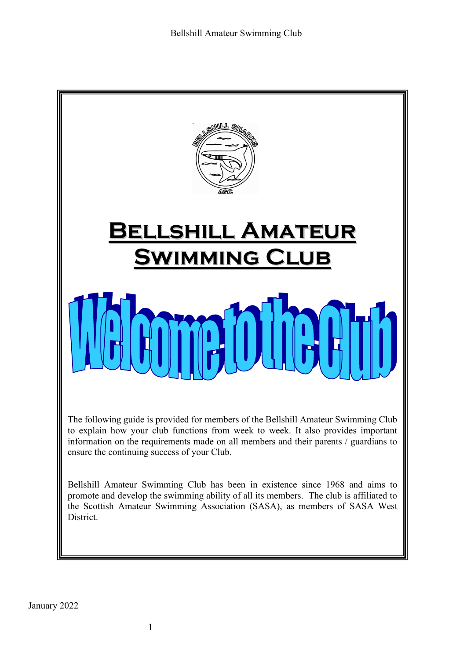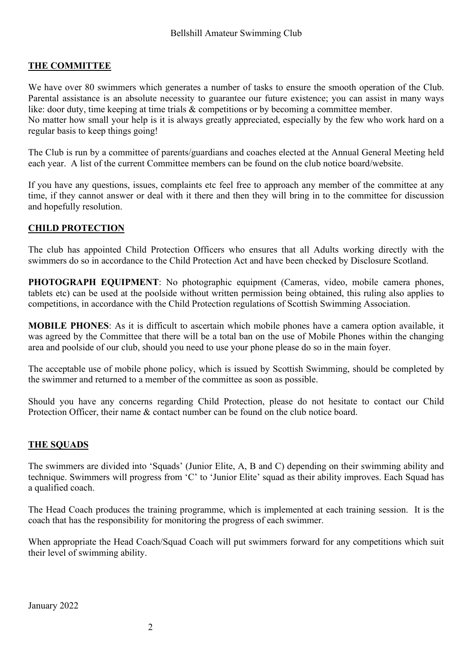## **THE COMMITTEE**

We have over 80 swimmers which generates a number of tasks to ensure the smooth operation of the Club. Parental assistance is an absolute necessity to guarantee our future existence; you can assist in many ways like: door duty, time keeping at time trials & competitions or by becoming a committee member. No matter how small your help is it is always greatly appreciated, especially by the few who work hard on a regular basis to keep things going!

The Club is run by a committee of parents/guardians and coaches elected at the Annual General Meeting held each year. A list of the current Committee members can be found on the club notice board/website.

If you have any questions, issues, complaints etc feel free to approach any member of the committee at any time, if they cannot answer or deal with it there and then they will bring in to the committee for discussion and hopefully resolution.

## **CHILD PROTECTION**

The club has appointed Child Protection Officers who ensures that all Adults working directly with the swimmers do so in accordance to the Child Protection Act and have been checked by Disclosure Scotland.

**PHOTOGRAPH EQUIPMENT**: No photographic equipment (Cameras, video, mobile camera phones, tablets etc) can be used at the poolside without written permission being obtained, this ruling also applies to competitions, in accordance with the Child Protection regulations of Scottish Swimming Association.

**MOBILE PHONES**: As it is difficult to ascertain which mobile phones have a camera option available, it was agreed by the Committee that there will be a total ban on the use of Mobile Phones within the changing area and poolside of our club, should you need to use your phone please do so in the main foyer.

The acceptable use of mobile phone policy, which is issued by Scottish Swimming, should be completed by the swimmer and returned to a member of the committee as soon as possible.

Should you have any concerns regarding Child Protection, please do not hesitate to contact our Child Protection Officer, their name & contact number can be found on the club notice board.

## **THE SQUADS**

The swimmers are divided into 'Squads' (Junior Elite, A, B and C) depending on their swimming ability and technique. Swimmers will progress from 'C' to 'Junior Elite' squad as their ability improves. Each Squad has a qualified coach.

The Head Coach produces the training programme, which is implemented at each training session. It is the coach that has the responsibility for monitoring the progress of each swimmer.

When appropriate the Head Coach/Squad Coach will put swimmers forward for any competitions which suit their level of swimming ability.

January 2022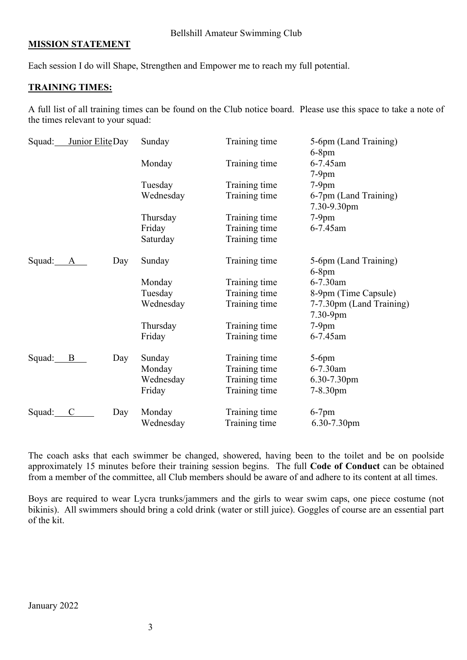Bellshill Amateur Swimming Club

#### **MISSION STATEMENT**

Each session I do will Shape, Strengthen and Empower me to reach my full potential.

#### **TRAINING TIMES:**

A full list of all training times can be found on the Club notice board. Please use this space to take a note of the times relevant to your squad:

| Squad: | Junior EliteDay     | Sunday    | Training time | 5-6pm (Land Training)<br>$6-8$ pm    |
|--------|---------------------|-----------|---------------|--------------------------------------|
|        |                     | Monday    | Training time | 6-7.45am<br>$7-9$ pm                 |
|        |                     | Tuesday   | Training time | $7-9$ pm                             |
|        |                     | Wednesday | Training time | 6-7pm (Land Training)<br>7.30-9.30pm |
|        |                     | Thursday  | Training time | $7-9$ pm                             |
|        |                     | Friday    | Training time | 6-7.45am                             |
|        |                     | Saturday  | Training time |                                      |
| Squad: | Day<br>A            | Sunday    | Training time | 5-6pm (Land Training)<br>$6-8$ pm    |
|        |                     | Monday    | Training time | 6-7.30am                             |
|        |                     | Tuesday   | Training time | 8-9pm (Time Capsule)                 |
|        |                     | Wednesday | Training time | 7-7.30pm (Land Training)<br>7.30-9pm |
|        |                     | Thursday  | Training time | $7-9$ pm                             |
|        |                     | Friday    | Training time | 6-7.45am                             |
| Squad: | B<br>Day            | Sunday    | Training time | $5-6$ pm                             |
|        |                     | Monday    | Training time | 6-7.30am                             |
|        |                     | Wednesday | Training time | 6.30-7.30pm                          |
|        |                     | Friday    | Training time | 7-8.30pm                             |
| Squad: | Day<br>$\mathsf{C}$ | Monday    | Training time | $6-7$ pm                             |
|        |                     | Wednesday | Training time | 6.30-7.30pm                          |

The coach asks that each swimmer be changed, showered, having been to the toilet and be on poolside approximately 15 minutes before their training session begins. The full **Code of Conduct** can be obtained from a member of the committee, all Club members should be aware of and adhere to its content at all times.

Boys are required to wear Lycra trunks/jammers and the girls to wear swim caps, one piece costume (not bikinis). All swimmers should bring a cold drink (water or still juice). Goggles of course are an essential part of the kit.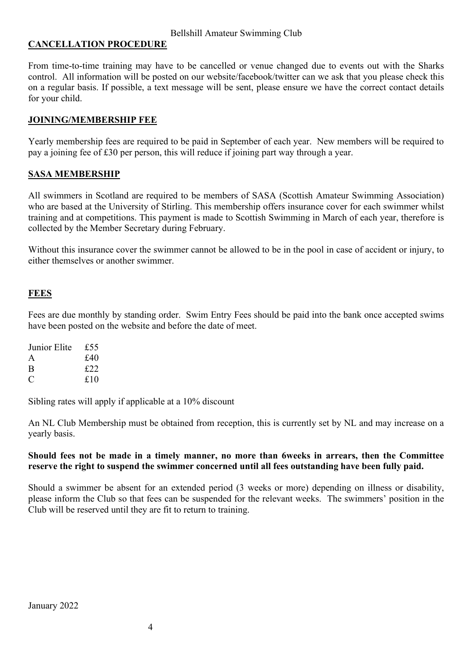### **CANCELLATION PROCEDURE**

From time-to-time training may have to be cancelled or venue changed due to events out with the Sharks control. All information will be posted on our website/facebook/twitter can we ask that you please check this on a regular basis. If possible, a text message will be sent, please ensure we have the correct contact details for your child.

### **JOINING/MEMBERSHIP FEE**

Yearly membership fees are required to be paid in September of each year. New members will be required to pay a joining fee of £30 per person, this will reduce if joining part way through a year.

## **SASA MEMBERSHIP**

All swimmers in Scotland are required to be members of SASA (Scottish Amateur Swimming Association) who are based at the University of Stirling. This membership offers insurance cover for each swimmer whilst training and at competitions. This payment is made to Scottish Swimming in March of each year, therefore is collected by the Member Secretary during February.

Without this insurance cover the swimmer cannot be allowed to be in the pool in case of accident or injury, to either themselves or another swimmer.

#### **FEES**

Fees are due monthly by standing order. Swim Entry Fees should be paid into the bank once accepted swims have been posted on the website and before the date of meet.

| Junior Elite | £55 |
|--------------|-----|
| A            | £40 |
| B            | £22 |
| €            | £10 |

Sibling rates will apply if applicable at a 10% discount

An NL Club Membership must be obtained from reception, this is currently set by NL and may increase on a yearly basis.

#### **Should fees not be made in a timely manner, no more than 6weeks in arrears, then the Committee reserve the right to suspend the swimmer concerned until all fees outstanding have been fully paid.**

Should a swimmer be absent for an extended period (3 weeks or more) depending on illness or disability, please inform the Club so that fees can be suspended for the relevant weeks. The swimmers' position in the Club will be reserved until they are fit to return to training.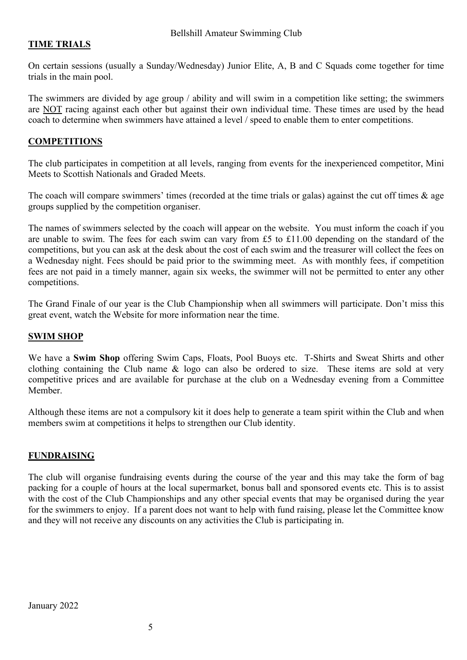## **TIME TRIALS**

On certain sessions (usually a Sunday/Wednesday) Junior Elite, A, B and C Squads come together for time trials in the main pool.

The swimmers are divided by age group / ability and will swim in a competition like setting; the swimmers are NOT racing against each other but against their own individual time. These times are used by the head coach to determine when swimmers have attained a level / speed to enable them to enter competitions.

### **COMPETITIONS**

The club participates in competition at all levels, ranging from events for the inexperienced competitor, Mini Meets to Scottish Nationals and Graded Meets.

The coach will compare swimmers' times (recorded at the time trials or galas) against the cut off times  $\&$  age groups supplied by the competition organiser.

The names of swimmers selected by the coach will appear on the website. You must inform the coach if you are unable to swim. The fees for each swim can vary from £5 to £11.00 depending on the standard of the competitions, but you can ask at the desk about the cost of each swim and the treasurer will collect the fees on a Wednesday night. Fees should be paid prior to the swimming meet. As with monthly fees, if competition fees are not paid in a timely manner, again six weeks, the swimmer will not be permitted to enter any other competitions.

The Grand Finale of our year is the Club Championship when all swimmers will participate. Don't miss this great event, watch the Website for more information near the time.

## **SWIM SHOP**

We have a **Swim Shop** offering Swim Caps, Floats, Pool Buoys etc. T-Shirts and Sweat Shirts and other clothing containing the Club name & logo can also be ordered to size. These items are sold at very competitive prices and are available for purchase at the club on a Wednesday evening from a Committee Member.

Although these items are not a compulsory kit it does help to generate a team spirit within the Club and when members swim at competitions it helps to strengthen our Club identity.

## **FUNDRAISING**

The club will organise fundraising events during the course of the year and this may take the form of bag packing for a couple of hours at the local supermarket, bonus ball and sponsored events etc. This is to assist with the cost of the Club Championships and any other special events that may be organised during the year for the swimmers to enjoy. If a parent does not want to help with fund raising, please let the Committee know and they will not receive any discounts on any activities the Club is participating in.